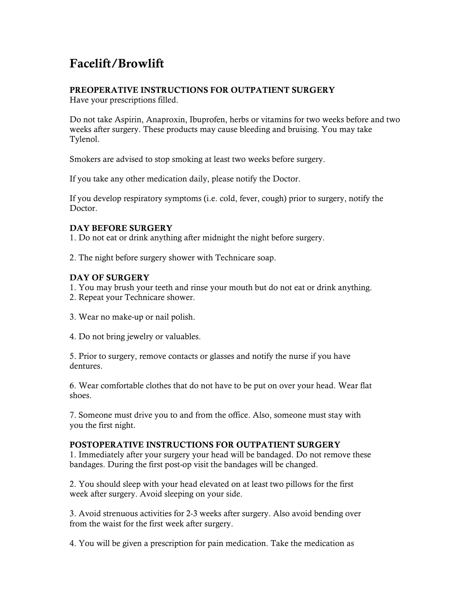# Facelift/Browlift

## PREOPERATIVE INSTRUCTIONS FOR OUTPATIENT SURGERY

Have your prescriptions filled.

Do not take Aspirin, Anaproxin, Ibuprofen, herbs or vitamins for two weeks before and two weeks after surgery. These products may cause bleeding and bruising. You may take Tylenol.

Smokers are advised to stop smoking at least two weeks before surgery.

If you take any other medication daily, please notify the Doctor.

If you develop respiratory symptoms (i.e. cold, fever, cough) prior to surgery, notify the Doctor.

## DAY BEFORE SURGERY

1. Do not eat or drink anything after midnight the night before surgery.

2. The night before surgery shower with Technicare soap.

### DAY OF SURGERY

- 1. You may brush your teeth and rinse your mouth but do not eat or drink anything.
- 2. Repeat your Technicare shower.
- 3. Wear no make-up or nail polish.
- 4. Do not bring jewelry or valuables.

5. Prior to surgery, remove contacts or glasses and notify the nurse if you have dentures.

6. Wear comfortable clothes that do not have to be put on over your head. Wear flat shoes.

7. Someone must drive you to and from the office. Also, someone must stay with you the first night.

### POSTOPERATIVE INSTRUCTIONS FOR OUTPATIENT SURGERY

1. Immediately after your surgery your head will be bandaged. Do not remove these bandages. During the first post-op visit the bandages will be changed.

2. You should sleep with your head elevated on at least two pillows for the first week after surgery. Avoid sleeping on your side.

3. Avoid strenuous activities for 2-3 weeks after surgery. Also avoid bending over from the waist for the first week after surgery.

4. You will be given a prescription for pain medication. Take the medication as